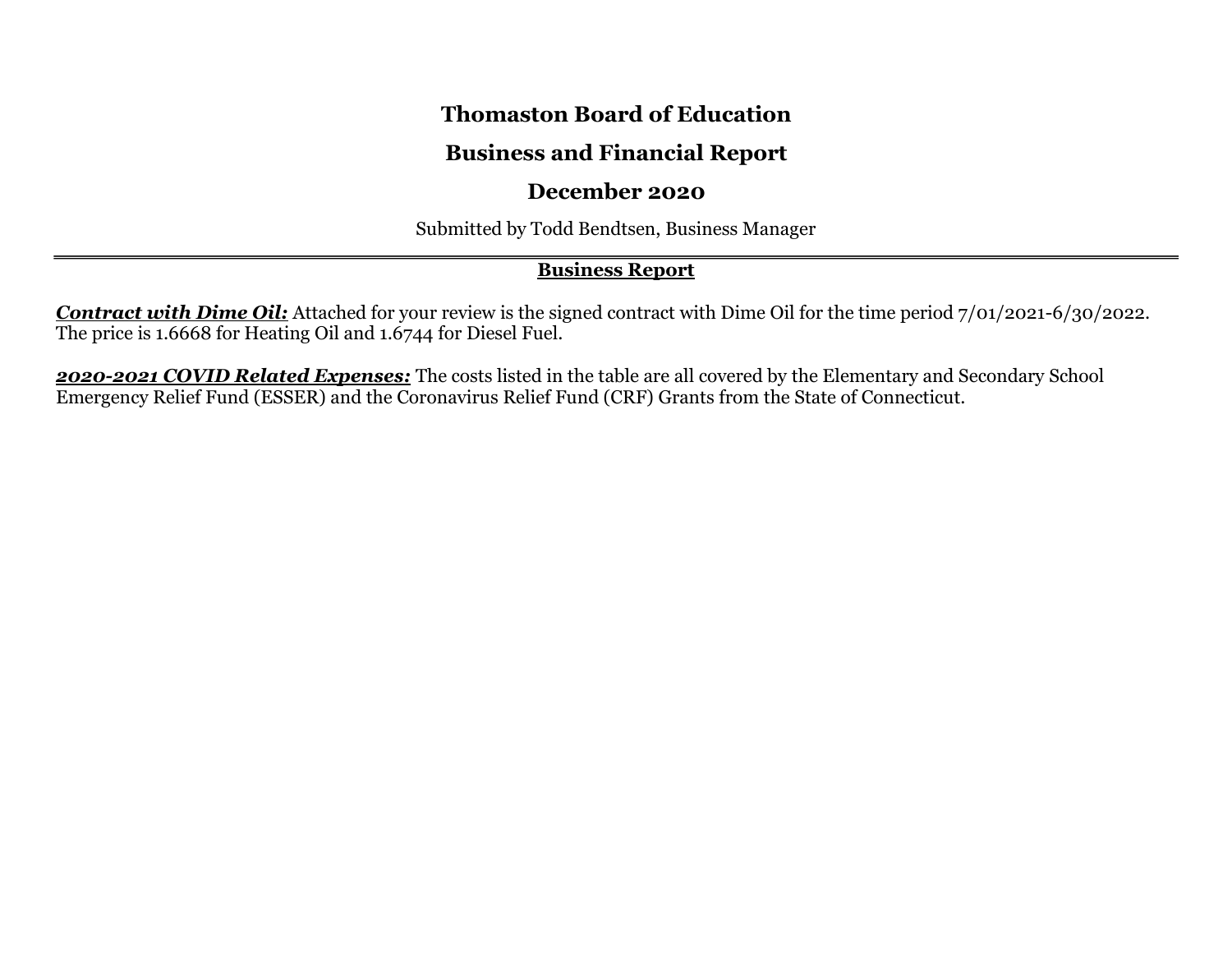# **Thomaston Board of Education**

# **Business and Financial Report**

# **December 2020**

Submitted by Todd Bendtsen, Business Manager

# **Business Report**

*Contract with Dime Oil:* Attached for your review is the signed contract with Dime Oil for the time period 7/01/2021-6/30/2022. The price is 1.6668 for Heating Oil and 1.6744 for Diesel Fuel.

*2020-2021 COVID Related Expenses:* The costs listed in the table are all covered by the Elementary and Secondary School Emergency Relief Fund (ESSER) and the Coronavirus Relief Fund (CRF) Grants from the State of Connecticut.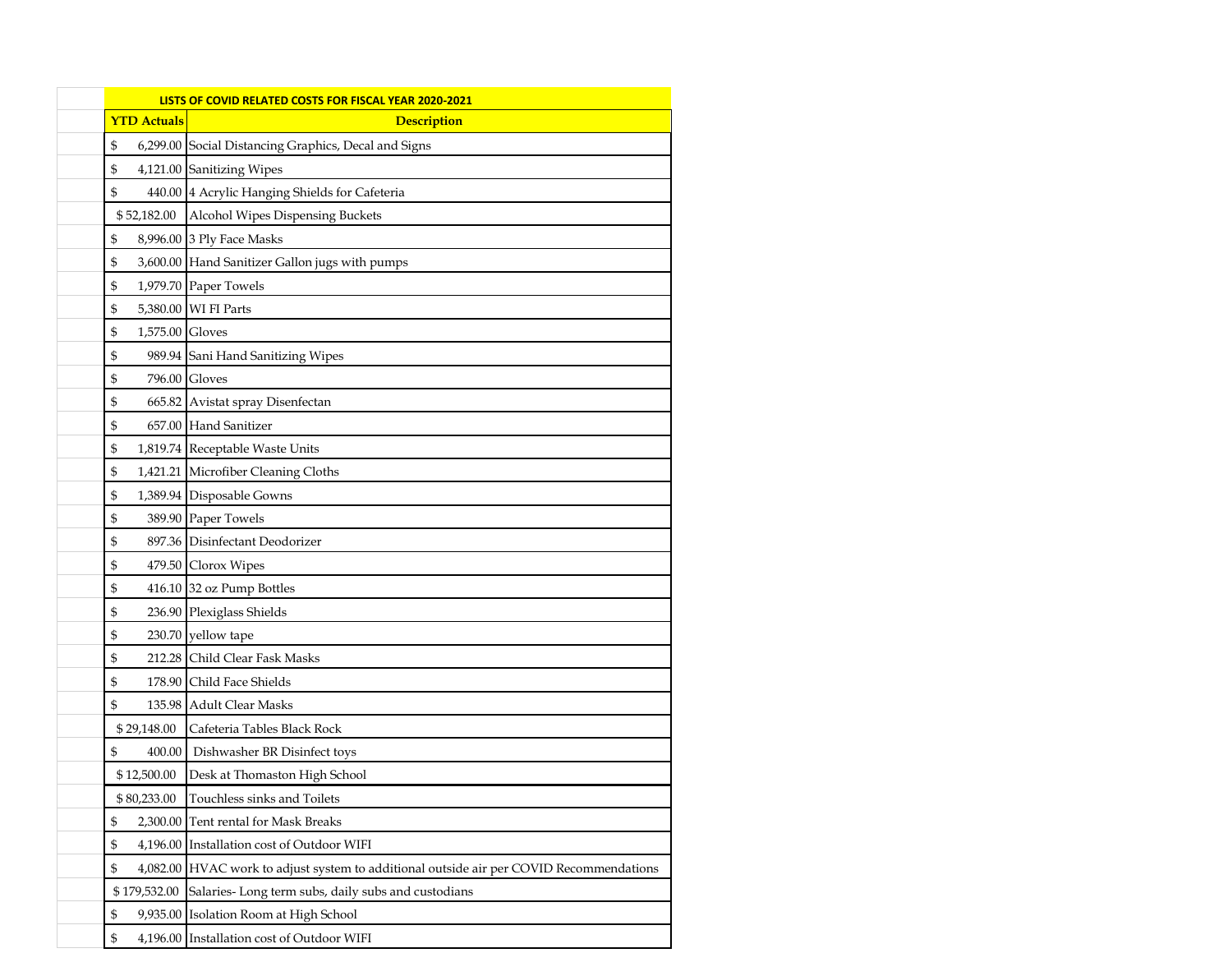| LISTS OF COVID RELATED COSTS FOR FISCAL YEAR 2020-2021 |                                                                                         |  |  |  |  |  |  |
|--------------------------------------------------------|-----------------------------------------------------------------------------------------|--|--|--|--|--|--|
| <b>YTD Actuals</b>                                     | <b>Description</b>                                                                      |  |  |  |  |  |  |
| \$                                                     | 6,299.00 Social Distancing Graphics, Decal and Signs                                    |  |  |  |  |  |  |
| \$                                                     | 4,121.00 Sanitizing Wipes                                                               |  |  |  |  |  |  |
| \$                                                     | 440.00 4 Acrylic Hanging Shields for Cafeteria                                          |  |  |  |  |  |  |
| \$52,182.00                                            | Alcohol Wipes Dispensing Buckets                                                        |  |  |  |  |  |  |
| \$                                                     | 8,996.00 3 Ply Face Masks                                                               |  |  |  |  |  |  |
| \$                                                     | 3,600.00 Hand Sanitizer Gallon jugs with pumps                                          |  |  |  |  |  |  |
| \$                                                     | 1,979.70 Paper Towels                                                                   |  |  |  |  |  |  |
| \$                                                     | 5,380.00 WI FI Parts                                                                    |  |  |  |  |  |  |
| \$<br>1,575.00 Gloves                                  |                                                                                         |  |  |  |  |  |  |
| \$                                                     | 989.94 Sani Hand Sanitizing Wipes                                                       |  |  |  |  |  |  |
| \$                                                     | 796.00 Gloves                                                                           |  |  |  |  |  |  |
| \$                                                     | 665.82 Avistat spray Disenfectan                                                        |  |  |  |  |  |  |
| \$                                                     | 657.00 Hand Sanitizer                                                                   |  |  |  |  |  |  |
| \$                                                     | 1,819.74 Receptable Waste Units                                                         |  |  |  |  |  |  |
| \$                                                     | 1,421.21 Microfiber Cleaning Cloths                                                     |  |  |  |  |  |  |
| \$                                                     | 1,389.94 Disposable Gowns                                                               |  |  |  |  |  |  |
| \$                                                     | 389.90 Paper Towels                                                                     |  |  |  |  |  |  |
| \$                                                     | 897.36 Disinfectant Deodorizer                                                          |  |  |  |  |  |  |
| \$                                                     | 479.50 Clorox Wipes                                                                     |  |  |  |  |  |  |
| \$                                                     | 416.10 32 oz Pump Bottles                                                               |  |  |  |  |  |  |
| \$                                                     | 236.90 Plexiglass Shields                                                               |  |  |  |  |  |  |
| \$                                                     | 230.70 yellow tape                                                                      |  |  |  |  |  |  |
| \$<br>212.28                                           | Child Clear Fask Masks                                                                  |  |  |  |  |  |  |
| \$<br>178.90                                           | Child Face Shields                                                                      |  |  |  |  |  |  |
| \$<br>135.98                                           | <b>Adult Clear Masks</b>                                                                |  |  |  |  |  |  |
| \$29,148.00                                            | Cafeteria Tables Black Rock                                                             |  |  |  |  |  |  |
| \$<br>400.00                                           | Dishwasher BR Disinfect toys                                                            |  |  |  |  |  |  |
| \$12,500.00                                            | Desk at Thomaston High School                                                           |  |  |  |  |  |  |
| \$80,233.00                                            | Touchless sinks and Toilets                                                             |  |  |  |  |  |  |
| \$                                                     | 2,300.00 Tent rental for Mask Breaks                                                    |  |  |  |  |  |  |
| \$                                                     | 4,196.00 Installation cost of Outdoor WIFI                                              |  |  |  |  |  |  |
| \$                                                     | 4,082.00 HVAC work to adjust system to additional outside air per COVID Recommendations |  |  |  |  |  |  |
| \$179,532.00                                           | Salaries-Long term subs, daily subs and custodians                                      |  |  |  |  |  |  |
| \$<br>9,935.00                                         | Isolation Room at High School                                                           |  |  |  |  |  |  |
| \$                                                     | 4,196.00 Installation cost of Outdoor WIFI                                              |  |  |  |  |  |  |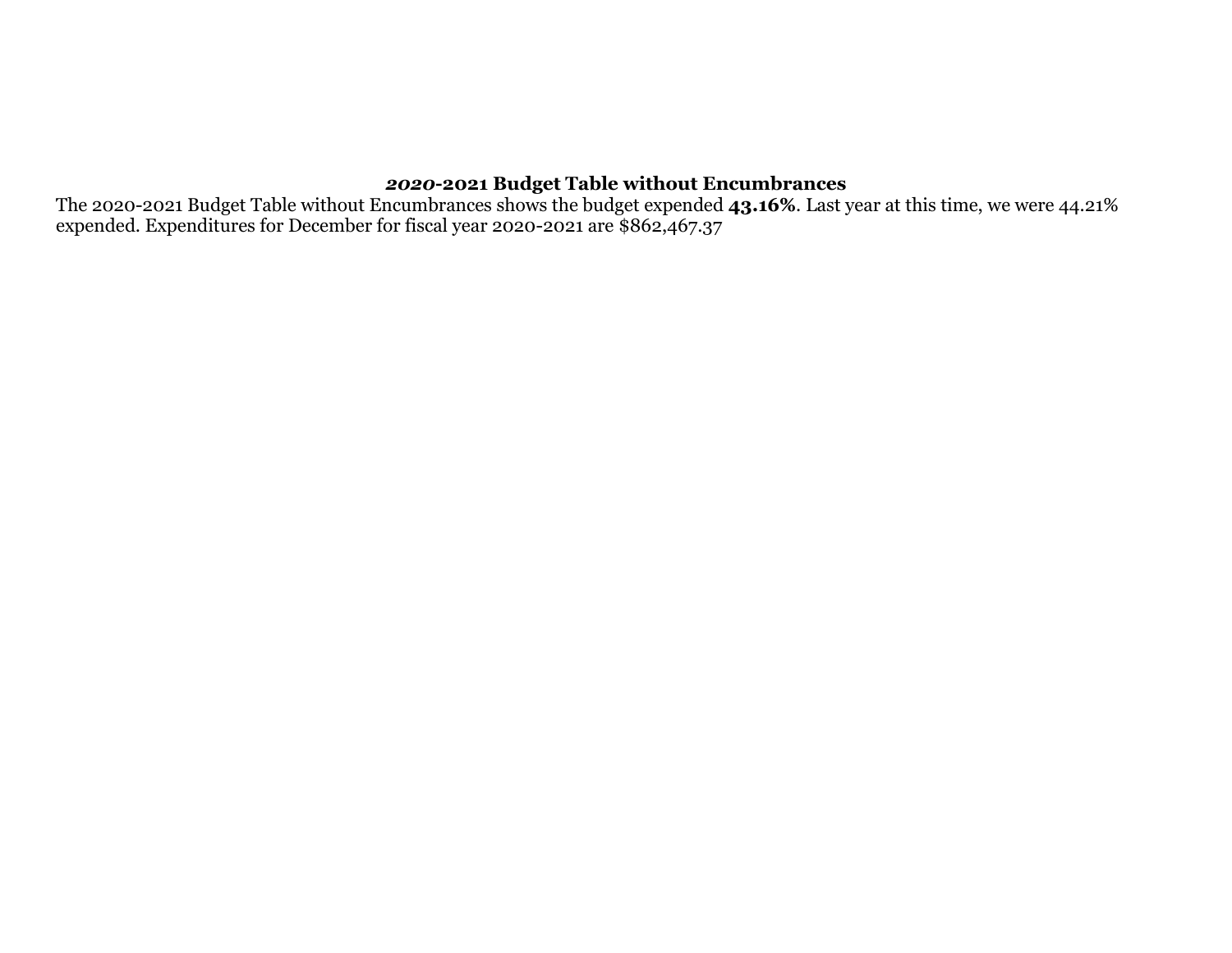#### *2020***-2021 Budget Table without Encumbrances**

The 2020-2021 Budget Table without Encumbrances shows the budget expended **43.16%**. Last year at this time, we were 44.21% expended. Expenditures for December for fiscal year 2020-2021 are \$862,467.37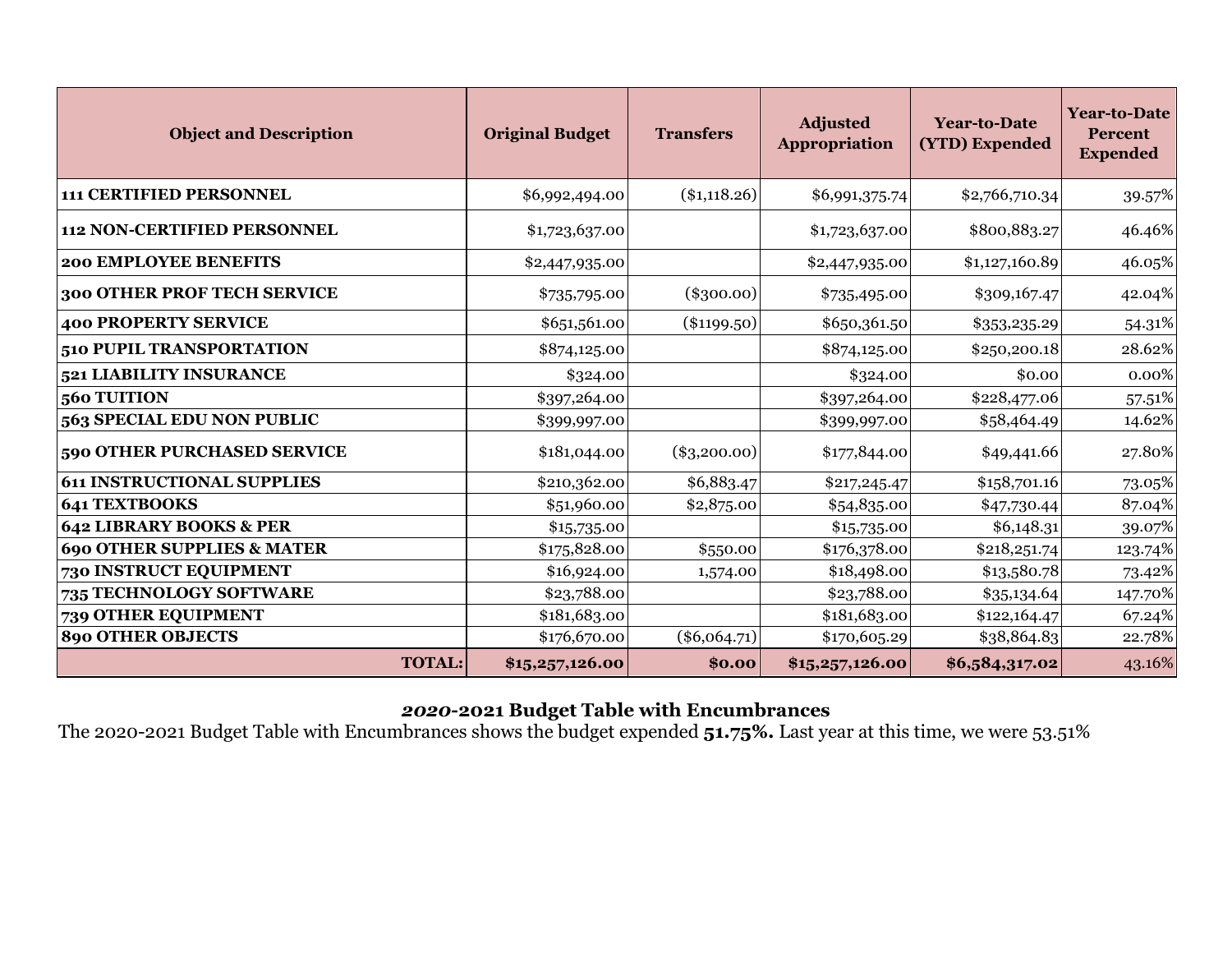| <b>Object and Description</b>         | <b>Original Budget</b> | <b>Transfers</b> | <b>Adjusted</b><br><b>Appropriation</b> | <b>Year-to-Date</b><br>(YTD) Expended | <b>Year-to-Date</b><br><b>Percent</b><br><b>Expended</b> |  |
|---------------------------------------|------------------------|------------------|-----------------------------------------|---------------------------------------|----------------------------------------------------------|--|
| <b>111 CERTIFIED PERSONNEL</b>        | \$6,992,494.00         | $(\$1,118.26)$   | \$6,991,375.74                          | \$2,766,710.34                        | 39.57%                                                   |  |
| <b>112 NON-CERTIFIED PERSONNEL</b>    | \$1,723,637.00         |                  | \$1,723,637.00                          | \$800,883.27                          | 46.46%                                                   |  |
| <b>200 EMPLOYEE BENEFITS</b>          | \$2,447,935.00         |                  | \$2,447,935.00                          | \$1,127,160.89                        | 46.05%                                                   |  |
| 300 OTHER PROF TECH SERVICE           | \$735,795.00           | $(\$300.00)$     | \$735,495.00                            | \$309,167.47                          | 42.04%                                                   |  |
| <b>400 PROPERTY SERVICE</b>           | \$651,561.00           | $(\$1199.50)$    | \$650,361.50                            | \$353,235.29                          | 54.31%                                                   |  |
| 510 PUPIL TRANSPORTATION              | \$874,125.00           |                  | \$874,125.00                            | \$250,200.18                          | 28.62%                                                   |  |
| 521 LIABILITY INSURANCE               | \$324.00               |                  | \$324.00                                | \$0.00                                | 0.00%                                                    |  |
| 560 TUITION                           | \$397,264.00           |                  | \$397,264.00                            | \$228,477.06                          | 57.51%                                                   |  |
| 563 SPECIAL EDU NON PUBLIC            | \$399,997.00           |                  | \$399,997.00                            | \$58,464.49                           | 14.62%                                                   |  |
| 590 OTHER PURCHASED SERVICE           | \$181,044.00           | $(\$3,200.00)$   | \$177,844.00                            | \$49,441.66                           | 27.80%                                                   |  |
| <b>611 INSTRUCTIONAL SUPPLIES</b>     | \$210,362.00           | \$6,883.47       | \$217,245.47                            | \$158,701.16                          | 73.05%                                                   |  |
| <b>641 TEXTBOOKS</b>                  | \$51,960.00            | \$2,875.00       | \$54,835.00                             | \$47,730.44                           | 87.04%                                                   |  |
| 642 LIBRARY BOOKS & PER               | \$15,735.00            |                  | \$15,735.00                             | \$6,148.31                            | 39.07%                                                   |  |
| <b>690 OTHER SUPPLIES &amp; MATER</b> | \$175,828.00           | \$550.00         | \$176,378.00                            | \$218,251.74                          | 123.74%                                                  |  |
| 730 INSTRUCT EQUIPMENT                | \$16,924.00            | 1,574.00         | \$18,498.00                             | \$13,580.78                           | 73.42%                                                   |  |
| 735 TECHNOLOGY SOFTWARE               | \$23,788.00            |                  | \$23,788.00                             | \$35,134.64                           | 147.70%                                                  |  |
| 739 OTHER EQUIPMENT                   | \$181,683.00           |                  | \$181,683.00                            | \$122,164.47                          | 67.24%                                                   |  |
| <b>890 OTHER OBJECTS</b>              | \$176,670.00           | $(\$6,064.71)$   | \$170,605.29                            | \$38,864.83                           | 22.78%                                                   |  |
| <b>TOTAL:</b>                         | \$15,257,126.00        | \$0.00           | \$15,257,126.00                         | \$6,584,317.02                        | 43.16%                                                   |  |

### *2020***-2021 Budget Table with Encumbrances**

The 2020-2021 Budget Table with Encumbrances shows the budget expended **51.75%.** Last year at this time, we were 53.51%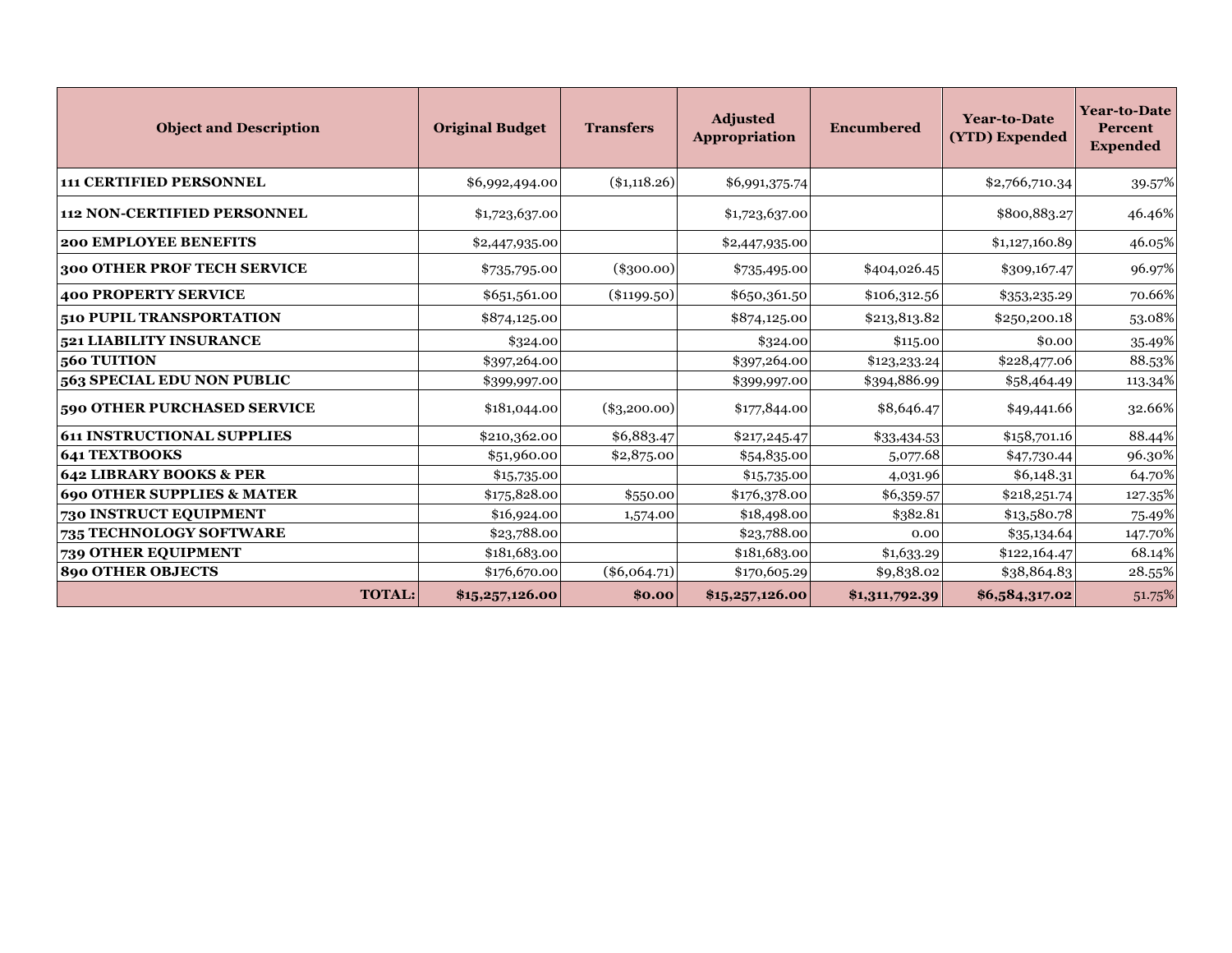| <b>Object and Description</b>         | <b>Original Budget</b> | <b>Transfers</b> | <b>Adjusted</b><br><b>Appropriation</b> | <b>Encumbered</b> | <b>Year-to-Date</b><br>(YTD) Expended | Year-to-Date<br>Percent<br><b>Expended</b> |
|---------------------------------------|------------------------|------------------|-----------------------------------------|-------------------|---------------------------------------|--------------------------------------------|
| <b>111 CERTIFIED PERSONNEL</b>        | \$6,992,494.00         | (\$1,118.26)     | \$6,991,375.74                          |                   | \$2,766,710.34                        | 39.57%                                     |
| <b>112 NON-CERTIFIED PERSONNEL</b>    | \$1,723,637.00         |                  | \$1,723,637.00                          |                   | \$800,883.27                          | 46.46%                                     |
| <b>200 EMPLOYEE BENEFITS</b>          | \$2,447,935.00         |                  | \$2,447,935.00                          |                   | \$1,127,160.89                        | 46.05%                                     |
| 300 OTHER PROF TECH SERVICE           | \$735,795.00           | $(\$300.00)$     | \$735,495.00                            | \$404,026.45      | \$309,167.47                          | 96.97%                                     |
| <b>400 PROPERTY SERVICE</b>           | \$651,561.00           | $(\$1199.50)$    | \$650,361.50                            | \$106,312.56      | \$353,235.29                          | 70.66%                                     |
| 510 PUPIL TRANSPORTATION              | \$874,125.00           |                  | \$874,125.00                            | \$213,813.82      | \$2,50,200.18                         | 53.08%                                     |
| 521 LIABILITY INSURANCE               | \$324.00               |                  | \$324.00                                | \$115.00          | \$0.00                                | 35.49%                                     |
| 560 TUITION                           | \$397,264.00           |                  | \$397,264.00                            | \$123,233.24      | \$228,477.06                          | 88.53%                                     |
| 563 SPECIAL EDU NON PUBLIC            | \$399,997.00           |                  | \$399,997.00                            | \$394,886.99      | \$58,464.49                           | 113.34%                                    |
| 590 OTHER PURCHASED SERVICE           | \$181,044.00           | $(*3,200.00)$    | \$177,844.00                            | \$8,646.47        | \$49,441.66                           | 32.66%                                     |
| <b>611 INSTRUCTIONAL SUPPLIES</b>     | \$210,362.00           | \$6,883.47       | \$217,245.47                            | \$33,434.53       | \$158,701.16                          | 88.44%                                     |
| <b>641 TEXTBOOKS</b>                  | \$51,960.00            | \$2,875.00       | \$54,835.00                             | 5,077.68          | \$47,730.44                           | 96.30%                                     |
| <b>642 LIBRARY BOOKS &amp; PER</b>    | \$15,735.00            |                  | \$15,735.00                             | 4,031.96          | \$6,148.31                            | 64.70%                                     |
| <b>690 OTHER SUPPLIES &amp; MATER</b> | \$175,828.00           | \$550.00         | \$176,378.00                            | \$6,359.57        | \$218,251.74                          | 127.35%                                    |
| 730 INSTRUCT EQUIPMENT                | \$16,924.00            | 1,574.00         | \$18,498.00                             | \$382.81          | \$13,580.78                           | 75.49%                                     |
| 735 TECHNOLOGY SOFTWARE               | \$23,788.00            |                  | \$23,788.00                             | 0.00              | \$35,134.64                           | 147.70%                                    |
| 739 OTHER EQUIPMENT                   | \$181,683.00           |                  | \$181,683.00                            | \$1,633.29        | \$122,164.47                          | 68.14%                                     |
| <b>890 OTHER OBJECTS</b>              | \$176,670.00           | $(\$6,064.71)$   | \$170,605.29                            | \$9,838.02        | \$38,864.83                           | 28.55%                                     |
| <b>TOTAL:</b>                         | \$15,257,126.00        | \$0.00           | \$15,257,126.00                         | \$1,311,792.39    | \$6,584,317.02                        | 51.75%                                     |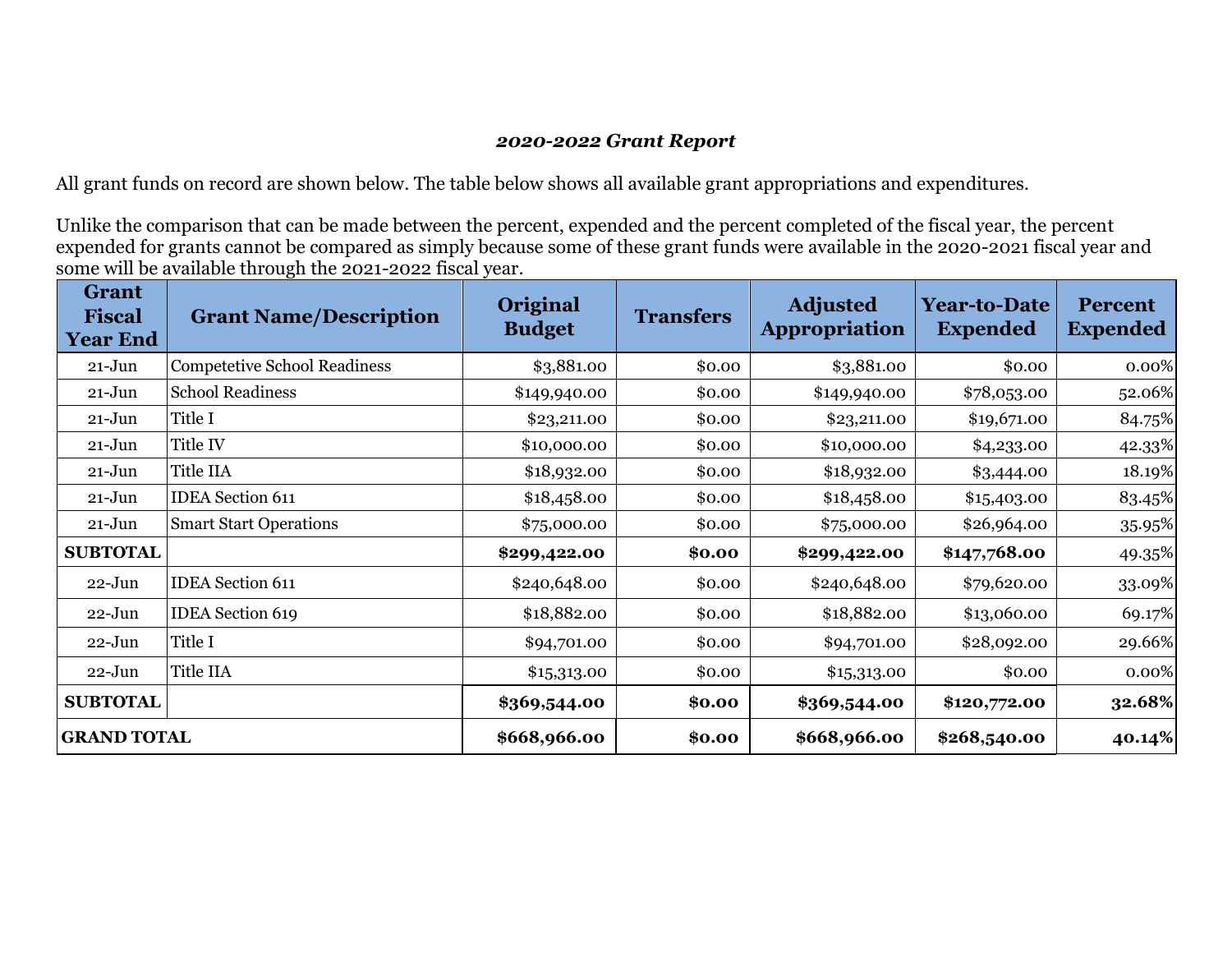#### *2020-2022 Grant Report*

All grant funds on record are shown below. The table below shows all available grant appropriations and expenditures.

Unlike the comparison that can be made between the percent, expended and the percent completed of the fiscal year, the percent expended for grants cannot be compared as simply because some of these grant funds were available in the 2020-2021 fiscal year and some will be available through the 2021-2022 fiscal year.

| <b>Grant</b><br><b>Fiscal</b><br><b>Year End</b> | <b>Grant Name/Description</b>       | Original<br><b>Budget</b> | <b>Transfers</b> | <b>Adjusted</b><br><b>Appropriation</b> | <b>Year-to-Date</b><br><b>Expended</b> | <b>Percent</b><br><b>Expended</b> |
|--------------------------------------------------|-------------------------------------|---------------------------|------------------|-----------------------------------------|----------------------------------------|-----------------------------------|
| $21 - Jun$                                       | <b>Competetive School Readiness</b> | \$3,881.00                | \$0.00           | \$3,881.00                              | \$0.00                                 | 0.00%                             |
| $21 - Jun$                                       | <b>School Readiness</b>             | \$149,940.00              | \$0.00           | \$149,940.00                            | \$78,053.00                            | 52.06%                            |
| $21 - Jun$                                       | Title I                             | \$23,211.00               | \$0.00           | \$23,211.00                             | \$19,671.00                            | 84.75%                            |
| $21 - Jun$                                       | Title IV                            | \$10,000.00               | \$0.00           | \$10,000.00                             | \$4,233.00                             | 42.33%                            |
| $21 - Jun$                                       | Title IIA                           | \$18,932.00               | \$0.00           | \$18,932.00                             | \$3,444.00                             | 18.19%                            |
| $21 - Jun$                                       | <b>IDEA</b> Section 611             | \$18,458.00               | \$0.00           | \$18,458.00                             | \$15,403.00                            | 83.45%                            |
| $21 - Jun$                                       | <b>Smart Start Operations</b>       | \$75,000.00               | \$0.00           | \$75,000.00                             | \$26,964.00                            | 35.95%                            |
| <b>SUBTOTAL</b>                                  |                                     | \$299,422.00              | \$0.00           | \$299,422.00                            | \$147,768.00                           | 49.35%                            |
| $22 - Jun$                                       | <b>IDEA</b> Section 611             | \$240,648.00              | \$0.00           | \$240,648.00                            | \$79,620.00                            | 33.09%                            |
| $22 - Jun$                                       | <b>IDEA</b> Section 619             | \$18,882.00               | \$0.00           | \$18,882.00                             | \$13,060.00                            | 69.17%                            |
| $22 - Jun$                                       | Title I                             | \$94,701.00               | \$0.00           | \$94,701.00                             | \$28,092.00                            | 29.66%                            |
| $22 - Jun$                                       | Title IIA                           | \$15,313.00               | \$0.00           | \$15,313.00                             | \$0.00                                 | 0.00%                             |
| <b>SUBTOTAL</b>                                  |                                     | \$369,544.00              | \$0.00           | \$369,544.00                            | \$120,772.00                           | 32.68%                            |
| <b>GRAND TOTAL</b>                               |                                     | \$668,966.00              | \$0.00           | \$668,966.00                            | \$268,540.00                           | 40.14%                            |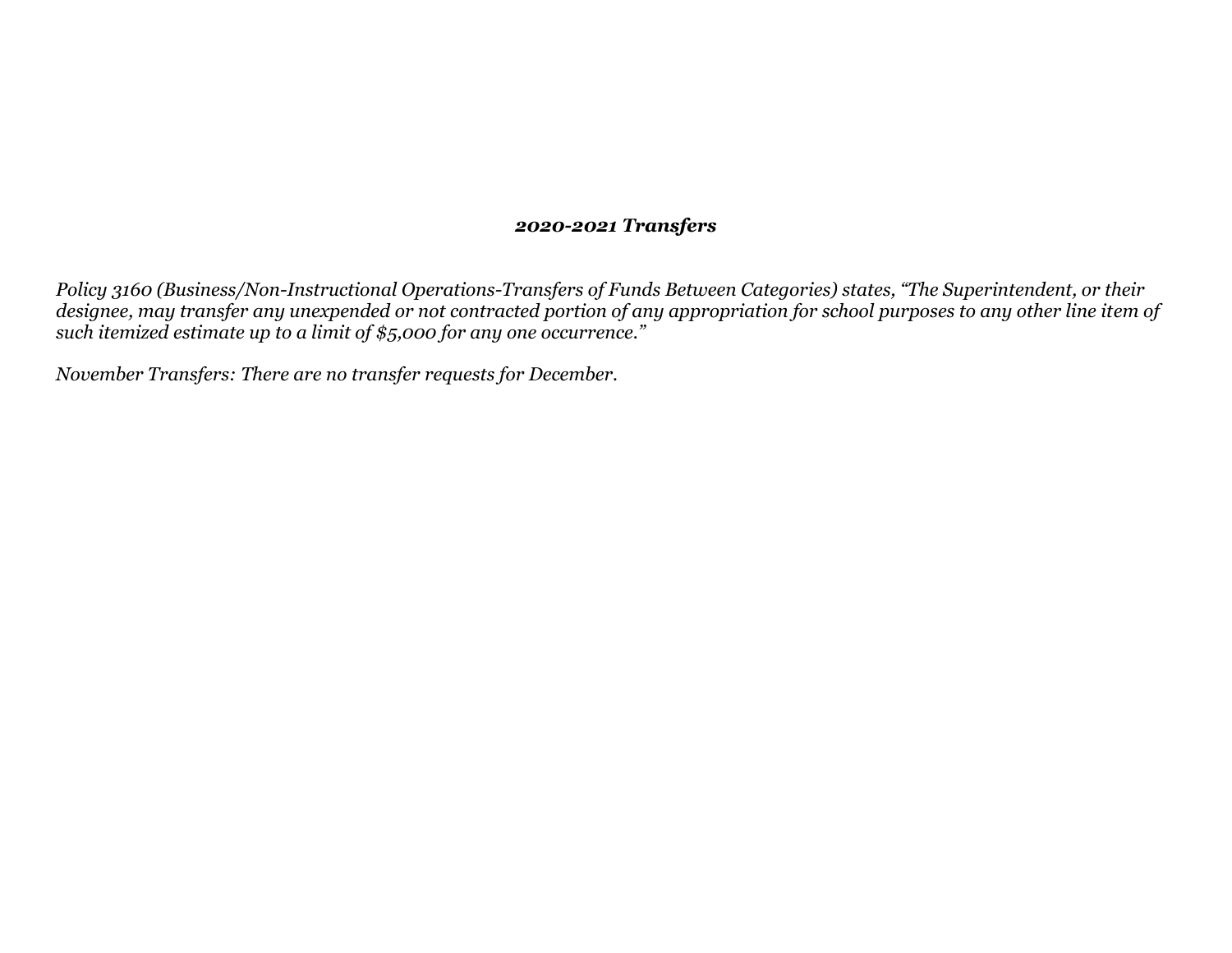#### *2020-2021 Transfers*

*Policy 3160 (Business/Non-Instructional Operations-Transfers of Funds Between Categories) states, "The Superintendent, or their designee, may transfer any unexpended or not contracted portion of any appropriation for school purposes to any other line item of such itemized estimate up to a limit of \$5,000 for any one occurrence."*

*November Transfers: There are no transfer requests for December.*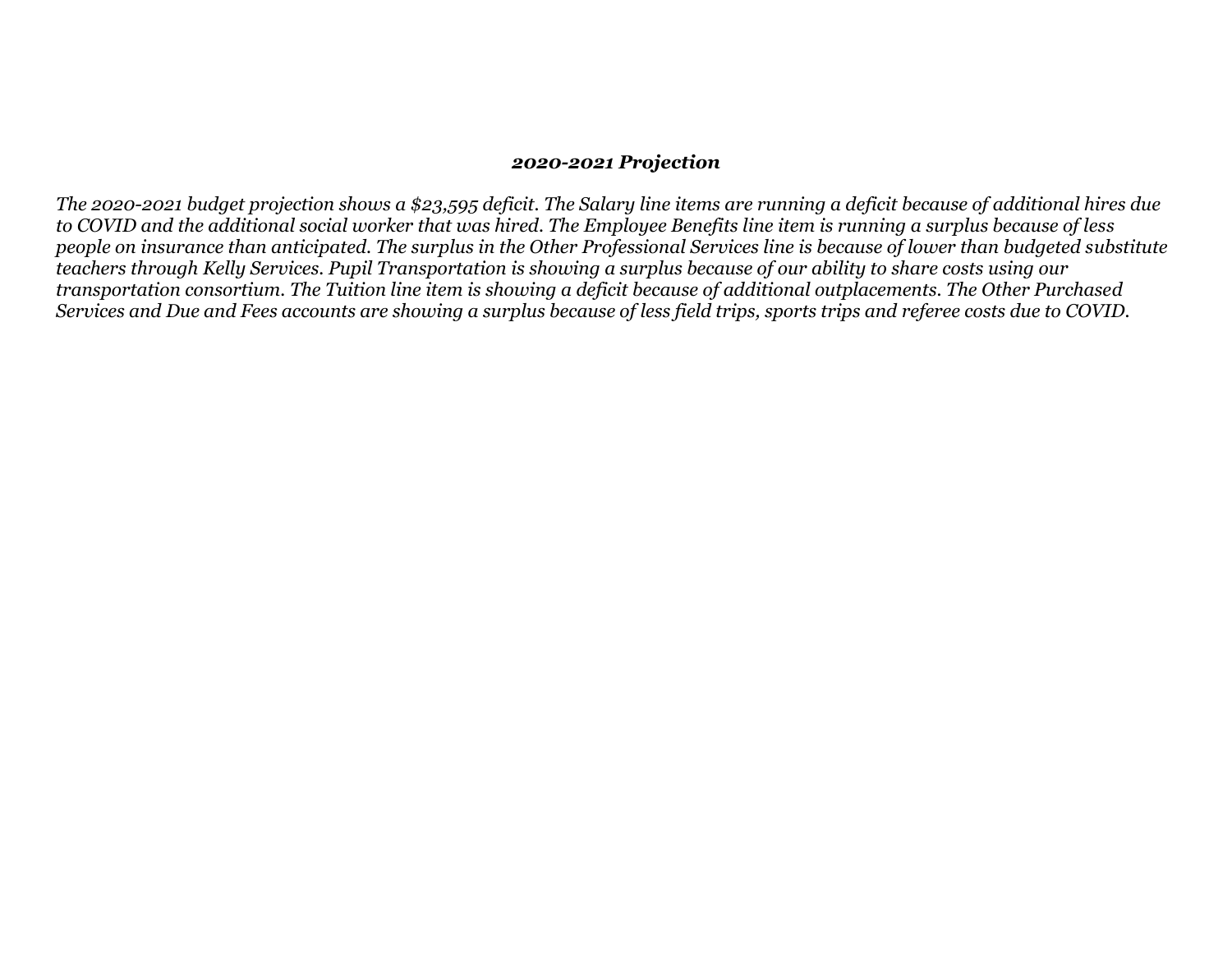#### *2020-2021 Projection*

*The 2020-2021 budget projection shows a \$23,595 deficit. The Salary line items are running a deficit because of additional hires due to COVID and the additional social worker that was hired. The Employee Benefits line item is running a surplus because of less people on insurance than anticipated. The surplus in the Other Professional Services line is because of lower than budgeted substitute teachers through Kelly Services. Pupil Transportation is showing a surplus because of our ability to share costs using our transportation consortium. The Tuition line item is showing a deficit because of additional outplacements. The Other Purchased*  Services and Due and Fees accounts are showing a surplus because of less field trips, sports trips and referee costs due to COVID.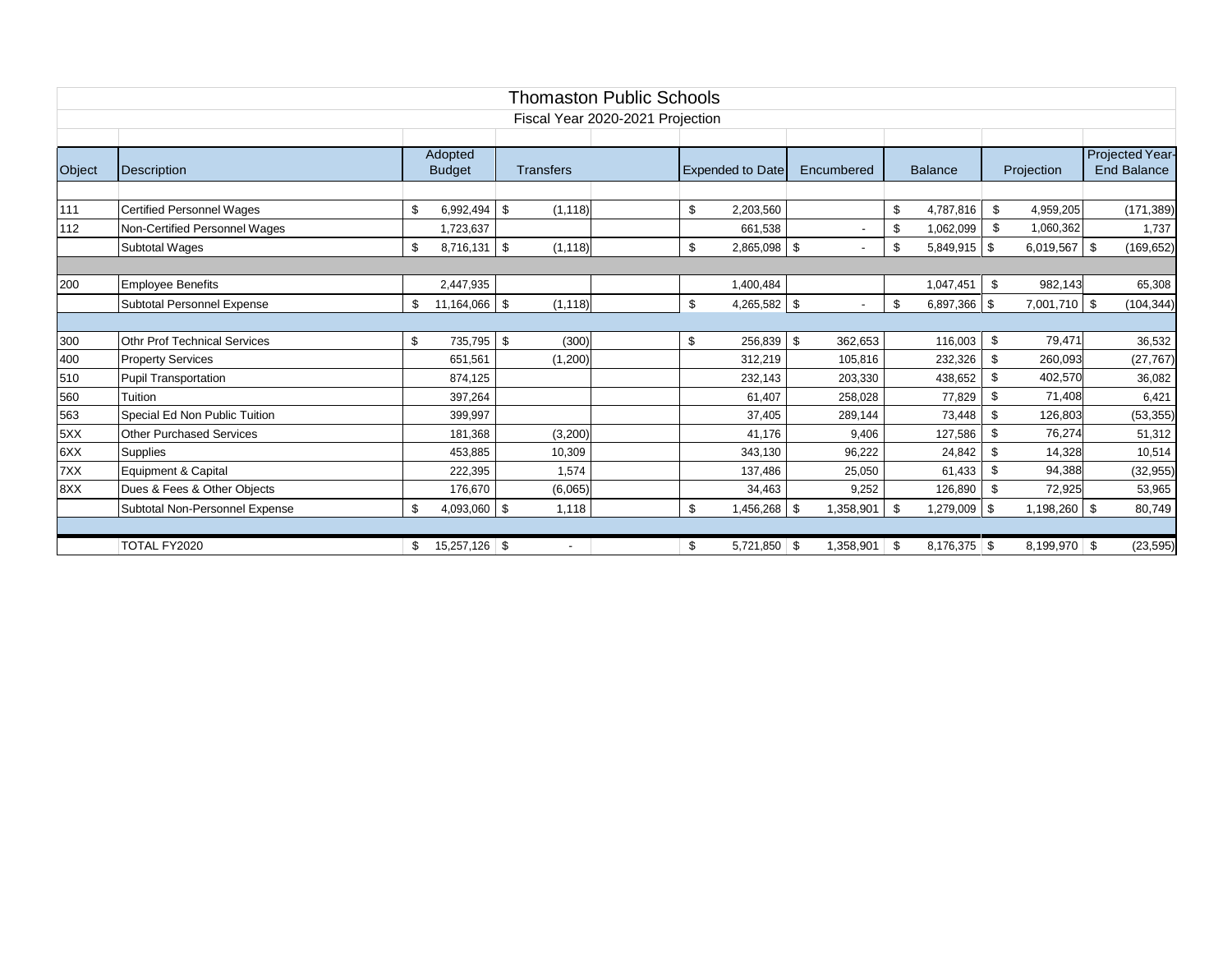|        | <b>Thomaston Public Schools</b>     |                      |                  |  |                         |                       |      |                |                |                |  |                    |
|--------|-------------------------------------|----------------------|------------------|--|-------------------------|-----------------------|------|----------------|----------------|----------------|--|--------------------|
|        | Fiscal Year 2020-2021 Projection    |                      |                  |  |                         |                       |      |                |                |                |  |                    |
|        |                                     |                      |                  |  |                         |                       |      |                |                |                |  |                    |
|        |                                     | Adopted              |                  |  |                         |                       |      |                |                |                |  | Projected Year-    |
| Object | <b>Description</b>                  | <b>Budget</b>        | <b>Transfers</b> |  | <b>Expended to Date</b> | Encumbered            |      | <b>Balance</b> |                | Projection     |  | <b>End Balance</b> |
|        |                                     |                      |                  |  |                         |                       |      |                |                |                |  |                    |
| 111    | <b>Certified Personnel Wages</b>    | \$<br>6.992.494      | \$<br>(1, 118)   |  | \$<br>2,203,560         |                       | \$   | 4,787,816      | \$             | 4,959,205      |  | (171, 389)         |
| 112    | Non-Certified Personnel Wages       | 1,723,637            |                  |  | 661,538                 |                       | \$   | 1,062,099      | \$             | 1,060,362      |  | 1,737              |
|        | Subtotal Wages                      | $8,716,131$ \$<br>\$ | (1, 118)         |  | \$<br>2,865,098 \$      |                       | \$   | $5,849,915$ \$ |                | 6,019,567 \$   |  | (169, 652)         |
|        |                                     |                      |                  |  |                         |                       |      |                |                |                |  |                    |
| 200    | <b>Employee Benefits</b>            | 2,447,935            |                  |  | 1,400,484               |                       |      | 1,047,451      | \$             | 982,143        |  | 65,308             |
|        | <b>Subtotal Personnel Expense</b>   | 11,164,066 \$<br>\$  | (1, 118)         |  | \$<br>4,265,582 \$      |                       | \$   | $6,897,366$ \$ |                | 7,001,710 \$   |  | (104, 344)         |
|        |                                     |                      |                  |  |                         |                       |      |                |                |                |  |                    |
| 300    | <b>Othr Prof Technical Services</b> | 735,795<br>\$        | \$<br>(300)      |  | \$                      | 362,653<br>256,839 \$ |      | 116,003        | \$             | 79,471         |  | 36,532             |
| 400    | <b>Property Services</b>            | 651.561              | (1,200)          |  | 312,219                 | 105,816               |      | 232,326        | $\mathfrak{s}$ | 260,093        |  | (27, 767)          |
| 510    | <b>Pupil Transportation</b>         | 874,125              |                  |  | 232,143                 | 203,330               |      | 438,652        | $\mathfrak{s}$ | 402,570        |  | 36,082             |
| 560    | Tuition                             | 397.264              |                  |  | 61,407                  | 258,028               |      | 77,829         | $\mathfrak{L}$ | 71,408         |  | 6,421              |
| 563    | Special Ed Non Public Tuition       | 399,997              |                  |  | 37,405                  | 289,144               |      | 73,448         | $\mathfrak{L}$ | 126,803        |  | (53, 355)          |
| 5XX    | Other Purchased Services            | 181,368              | (3,200)          |  | 41.176                  | 9.406                 |      | 127,586        | \$             | 76,274         |  | 51,312             |
| 6XX    | <b>Supplies</b>                     | 453,885              | 10,309           |  | 343,130                 | 96,222                |      | 24,842         | \$             | 14,328         |  | 10,514             |
| 7XX    | Equipment & Capital                 | 222,395              | 1.574            |  | 137,486                 | 25,050                |      | 61,433         | \$.            | 94,388         |  | (32, 955)          |
| 8XX    | Dues & Fees & Other Objects         | 176,670              | (6,065)          |  | 34,463                  | 9,252                 |      | 126,890        | \$             | 72,925         |  | 53,965             |
|        | Subtotal Non-Personnel Expense      | 4,093,060 \$<br>\$   | 1,118            |  | \$<br>\$ 456,268,       | 1,358,901             | \$   | 1,279,009 \$   |                | 1,198,260 \$   |  | 80,749             |
|        |                                     |                      |                  |  |                         |                       |      |                |                |                |  |                    |
|        | TOTAL FY2020                        | 15,257,126 \$<br>\$  |                  |  | \$<br>$5,721,850$ \ \$  | 1,358,901             | - \$ | $8,176,375$ \$ |                | $8,199,970$ \$ |  | (23, 595)          |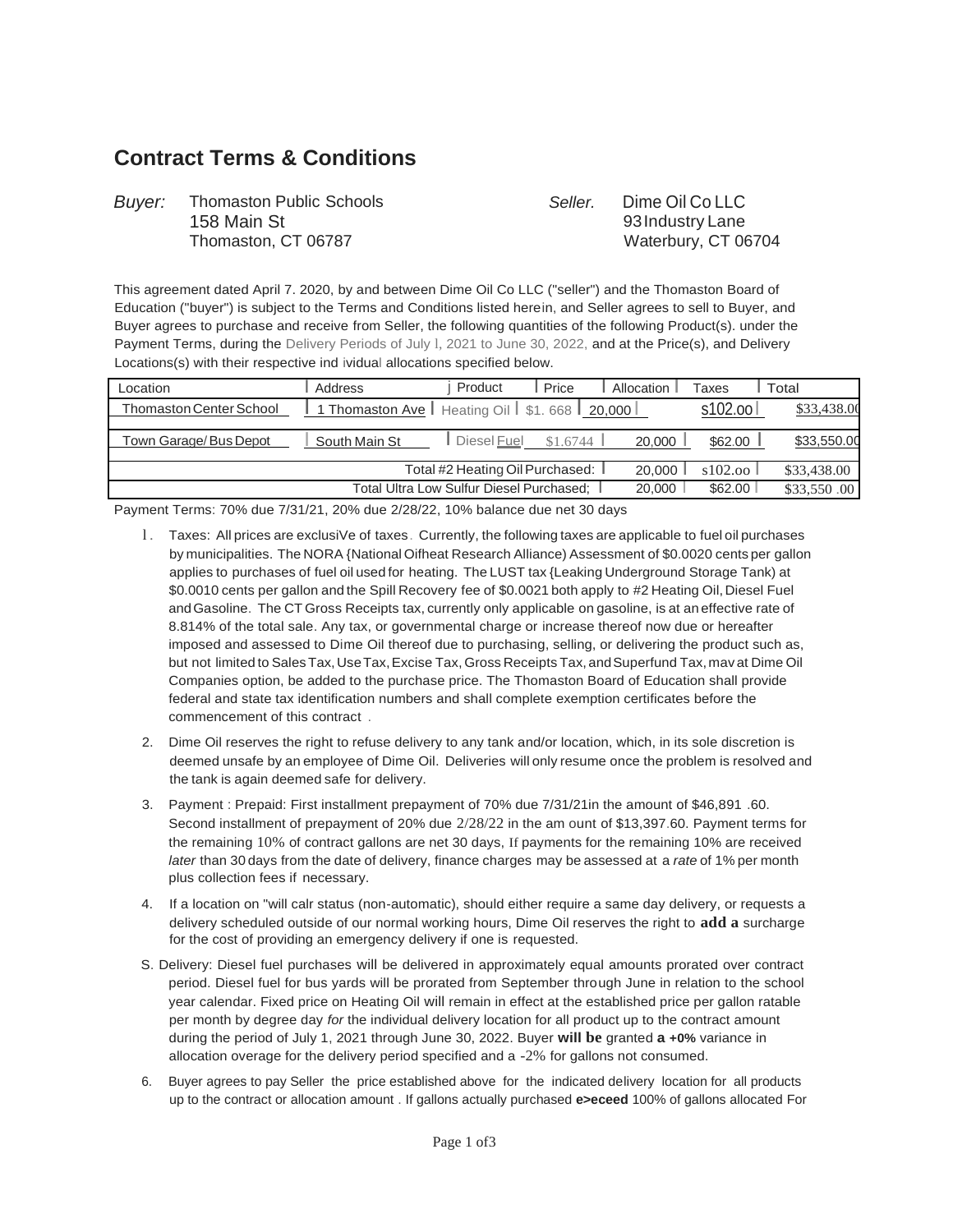# **Contract Terms & Conditions**

| <b>Buyer:</b> Thomaston Public Schools | Seller. | Dime Oil Co LLC     |
|----------------------------------------|---------|---------------------|
| 158 Main St                            |         | 93 Industry Lane    |
| Thomaston, CT 06787                    |         | Waterbury, CT 06704 |

This agreement dated April 7. 2020, by and between Dime Oil Co LLC ("seller") and the Thomaston Board of Education ("buyer") is subject to the Terms and Conditions listed herein, and Seller agrees to sell to Buyer, and Buyer agrees to purchase and receive from Seller, the following quantities of the following Product(s). under the Payment Terms, during the Delivery Periods of July l, 2021 to June 30, 2022, and at the Price(s), and Delivery Locations(s) with their respective ind ividual allocations specified below.

| Location                                                      | Address                                          | Product                           | Price    | Allocation | Taxes    | Total       |
|---------------------------------------------------------------|--------------------------------------------------|-----------------------------------|----------|------------|----------|-------------|
| <b>Thomaston Center School</b>                                | 1 Thomaston Ave   Heating Oil   \$1.668   20,000 |                                   |          |            | s102.ool | \$33,438.00 |
| Town Garage/Bus Depot                                         | South Main St                                    | Diesel <b>Fuel</b>                | \$1,6744 | 20,000     | \$62.00  | \$33,550.00 |
|                                                               |                                                  | Total #2 Heating Oil Purchased: I |          | 20,000     | s102.00  | \$33,438.00 |
| \$62.00<br>20,000<br>Total Ultra Low Sulfur Diesel Purchased: |                                                  |                                   |          |            |          | \$33,550.00 |

Payment Terms: 70% due 7/31/21, 20% due 2/28/22, 10% balance due net 30 days

- l . Taxes: All prices are exclusiVe of taxes. Currently, the following taxes are applicable to fuel oil purchases by municipalities. The NORA {National Oifheat Research Alliance) Assessment of \$0.0020 cents per gallon applies to purchases of fuel oil used for heating. The LUST tax {Leaking Underground Storage Tank) at \$0.0010 cents per gallon and the Spill Recovery fee of \$0.0021 both apply to #2 Heating Oil, Diesel Fuel andGasoline. The CT Gross Receipts tax, currently only applicable on gasoline, is at an effective rate of 8.814% of the total sale. Any tax, or governmental charge or increase thereof now due or hereafter imposed and assessed to Dime Oil thereof due to purchasing, selling, or delivering the product such as, but not limited to Sales Tax, Use Tax, Excise Tax, Gross Receipts Tax, and Superfund Tax, mav at Dime Oil Companies option, be added to the purchase price. The Thomaston Board of Education shall provide federal and state tax identification numbers and shall complete exemption certificates before the commencement of this contract .
- 2. Dime Oil reserves the right to refuse delivery to any tank and/or location, which, in its sole discretion is deemed unsafe by an employee of Dime Oil. Deliveries will only resume once the problem is resolved and the tank is again deemed safe for delivery.
- 3. Payment : Prepaid: First installment prepayment of 70% due 7/31/21in the amount of \$46,891 .60. Second installment of prepayment of 20% due 2/28/22 in the am ount of \$13,397.60. Payment terms for the remaining 10% of contract gallons are net 30 days, If payments for the remaining 10% are received *later* than 30 days from the date of delivery, finance charges may be assessed at a *rate* of 1% per month plus collection fees if necessary.
- 4. If a location on "will calr status (non-automatic), should either require a same day delivery, or requests a delivery scheduled outside of our normal working hours, Dime Oil reserves the right to **add a** surcharge for the cost of providing an emergency delivery if one is requested.
- S. Delivery: Diesel fuel purchases will be delivered in approximately equal amounts prorated over contract period. Diesel fuel for bus yards will be prorated from September through June in relation to the school year calendar. Fixed price on Heating Oil will remain in effect at the established price per gallon ratable per month by degree day *for* the individual delivery location for all product up to the contract amount during the period of July 1, 2021 through June 30, 2022. Buyer **will be** granted **a +0%** variance in allocation overage for the delivery period specified and a -2% for gallons not consumed.
- 6. Buyer agrees to pay Seller the price established above for the indicated delivery location for all products up to the contract or allocation amount . If gallons actually purchased **e>eceed** 100% of gallons allocated For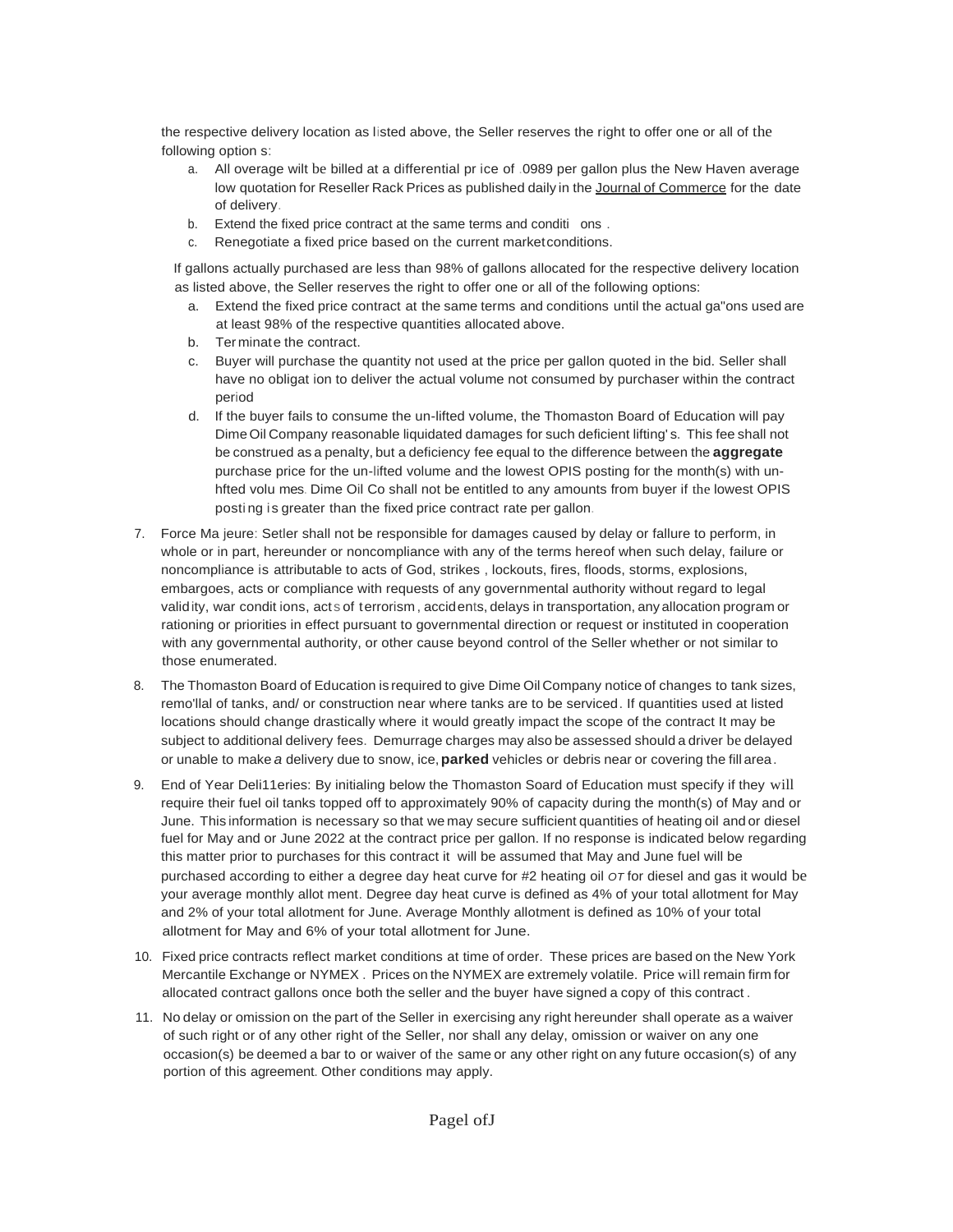the respective delivery location as listed above, the Seller reserves the right to offer one or all of the following option s:

- a. All overage wilt be billed at a differential pr ice of .0989 per gallon plus the New Haven average low quotation for Reseller Rack Prices as published daily in the Journal of Commerce for the date of delivery.
- b. Extend the fixed price contract at the same terms and conditi ons.
- c. Renegotiate a fixed price based on the current marketconditions.

If gallons actually purchased are less than 98% of gallons allocated for the respective delivery location as listed above, the Seller reserves the right to offer one or all of the following options:

- a. Extend the fixed price contract at the same terms and conditions until the actual ga"ons used are at least 98% of the respective quantities allocated above.
- b. Ter minate the contract.
- c. Buyer will purchase the quantity not used at the price per gallon quoted in the bid. Seller shall have no obligat ion to deliver the actual volume not consumed by purchaser within the contract period
- d. If the buyer fails to consume the un-lifted volume, the Thomaston Board of Education will pay DimeOil Company reasonable liquidated damages for such deficient lifting' s. This fee shall not be construed as a penalty, but a deficiency fee equal to the difference between the **aggregate**  purchase price for the un-lifted volume and the lowest OPIS posting for the month(s) with unhfted volu mes. Dime Oil Co shall not be entitled to any amounts from buyer if the lowest OPIS posti ng is greater than the fixed price contract rate per gallon.
- 7. Force Ma jeure: Setler shall not be responsible for damages caused by delay or fallure to perform, in whole or in part, hereunder or noncompliance with any of the terms hereof when such delay, failure or noncompliance is attributable to acts of God, strikes , lockouts, fires, floods, storms, explosions, embargoes, acts or compliance with requests of any governmental authority without regard to legal validity, war condit ions, act s of terrorism, accidents, delays in transportation, any allocation program or rationing or priorities in effect pursuant to governmental direction or request or instituted in cooperation with any governmental authority, or other cause beyond control of the Seller whether or not similar to those enumerated.
- 8. The Thomaston Board of Education is required to give Dime Oil Company notice of changes to tank sizes, remo'llal of tanks, and/ or construction near where tanks are to be serviced. If quantities used at listed locations should change drastically where it would greatly impact the scope of the contract It may be subject to additional delivery fees. Demurrage charges may also be assessed should a driver be delayed or unable to make *a* delivery due to snow, ice,**parked** vehicles or debris near or covering the fill area.
- 9. End of Year Deli11eries: By initialing below the Thomaston Soard of Education must specify if they will require their fuel oil tanks topped off to approximately 90% of capacity during the month(s) of May and or June. This information is necessary so that we may secure sufficient quantities of heating oil and or diesel fuel for May and or June 2022 at the contract price per gallon. If no response is indicated below regarding this matter prior to purchases for this contract it will be assumed that May and June fuel will be purchased according to either a degree day heat curve for #2 heating oil *OT* for diesel and gas it would be your average monthly allot ment. Degree day heat curve is defined as 4% of your total allotment for May and 2% of your total allotment for June. Average Monthly allotment is defined as 10% of your total allotment for May and 6% of your total allotment for June.
- 10. Fixed price contracts reflect market conditions at time of order. These prices are based on the New York Mercantile Exchange or NYMEX . Prices on the NYMEX are extremely volatile. Price will remain firm for allocated contract gallons once both the seller and the buyer have signed a copy of this contract .
- 11. No delay or omission on the part of the Seller in exercising any right hereunder shall operate as a waiver of such right or of any other right of the Seller, nor shall any delay, omission or waiver on any one occasion(s) be deemed a bar to or waiver of the same or any other right on any future occasion(s) of any portion of this agreement. Other conditions may apply.